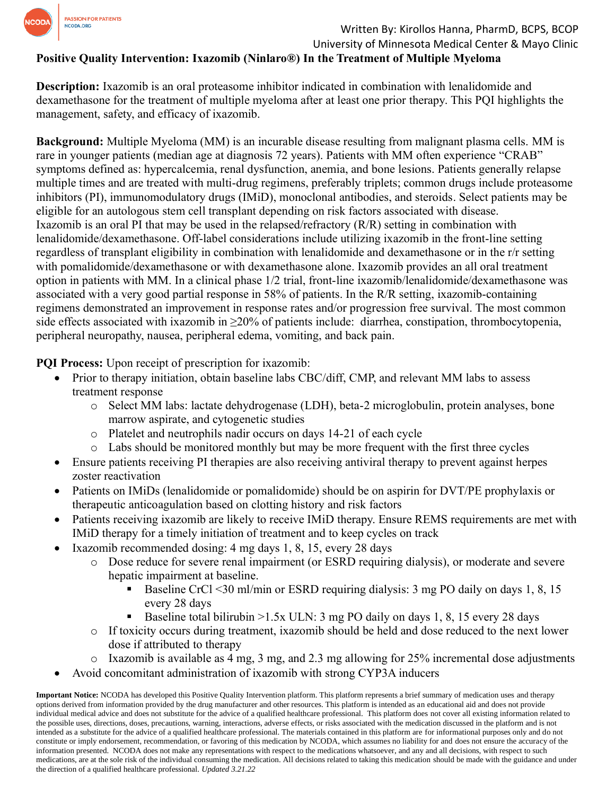

### Written By: Kirollos Hanna, PharmD, BCPS, BCOP

University of Minnesota Medical Center & Mayo Clinic

# **Positive Quality Intervention: Ixazomib (Ninlaro®) In the Treatment of Multiple Myeloma**

**Description:** Ixazomib is an oral proteasome inhibitor indicated in combination with lenalidomide and dexamethasone for the treatment of multiple myeloma after at least one prior therapy. This PQI highlights the management, safety, and efficacy of ixazomib.

**Background:** Multiple Myeloma (MM) is an incurable disease resulting from malignant plasma cells. MM is rare in younger patients (median age at diagnosis 72 years). Patients with MM often experience "CRAB" symptoms defined as: hypercalcemia, renal dysfunction, anemia, and bone lesions. Patients generally relapse multiple times and are treated with multi-drug regimens, preferably triplets; common drugs include proteasome inhibitors (PI), immunomodulatory drugs (IMiD), monoclonal antibodies, and steroids. Select patients may be eligible for an autologous stem cell transplant depending on risk factors associated with disease. Ixazomib is an oral PI that may be used in the relapsed/refractory (R/R) setting in combination with lenalidomide/dexamethasone. Off-label considerations include utilizing ixazomib in the front-line setting regardless of transplant eligibility in combination with lenalidomide and dexamethasone or in the r/r setting with pomalidomide/dexamethasone or with dexamethasone alone. Ixazomib provides an all oral treatment option in patients with MM. In a clinical phase 1/2 trial, front-line ixazomib/lenalidomide/dexamethasone was associated with a very good partial response in 58% of patients. In the R/R setting, ixazomib-containing regimens demonstrated an improvement in response rates and/or progression free survival. The most common side effects associated with ixazomib in ≥20% of patients include: diarrhea, constipation, thrombocytopenia, peripheral neuropathy, nausea, peripheral edema, vomiting, and back pain.

**PQI Process:** Upon receipt of prescription for ixazomib:

- Prior to therapy initiation, obtain baseline labs CBC/diff, CMP, and relevant MM labs to assess treatment response
	- o Select MM labs: lactate dehydrogenase (LDH), beta-2 microglobulin, protein analyses, bone marrow aspirate, and cytogenetic studies
	- o Platelet and neutrophils nadir occurs on days 14-21 of each cycle
	- o Labs should be monitored monthly but may be more frequent with the first three cycles
- Ensure patients receiving PI therapies are also receiving antiviral therapy to prevent against herpes zoster reactivation
- Patients on IMiDs (lenalidomide or pomalidomide) should be on aspirin for DVT/PE prophylaxis or therapeutic anticoagulation based on clotting history and risk factors
- Patients receiving ixazomib are likely to receive IMiD therapy. Ensure REMS requirements are met with IMiD therapy for a timely initiation of treatment and to keep cycles on track
- Ixazomib recommended dosing: 4 mg days 1, 8, 15, every 28 days
	- o Dose reduce for severe renal impairment (or ESRD requiring dialysis), or moderate and severe hepatic impairment at baseline.
		- Baseline CrCl <30 ml/min or ESRD requiring dialysis: 3 mg PO daily on days 1, 8, 15 every 28 days
		- Baseline total bilirubin  $>1.5x$  ULN: 3 mg PO daily on days 1, 8, 15 every 28 days
	- $\circ$  If toxicity occurs during treatment, ixazomib should be held and dose reduced to the next lower dose if attributed to therapy
	- o Ixazomib is available as 4 mg, 3 mg, and 2.3 mg allowing for 25% incremental dose adjustments
- Avoid concomitant administration of ixazomib with strong CYP3A inducers

**Important Notice:** NCODA has developed this Positive Quality Intervention platform. This platform represents a brief summary of medication uses and therapy options derived from information provided by the drug manufacturer and other resources. This platform is intended as an educational aid and does not provide individual medical advice and does not substitute for the advice of a qualified healthcare professional. This platform does not cover all existing information related to the possible uses, directions, doses, precautions, warning, interactions, adverse effects, or risks associated with the medication discussed in the platform and is not intended as a substitute for the advice of a qualified healthcare professional. The materials contained in this platform are for informational purposes only and do not constitute or imply endorsement, recommendation, or favoring of this medication by NCODA, which assumes no liability for and does not ensure the accuracy of the information presented. NCODA does not make any representations with respect to the medications whatsoever, and any and all decisions, with respect to such medications, are at the sole risk of the individual consuming the medication. All decisions related to taking this medication should be made with the guidance and under the direction of a qualified healthcare professional. *Updated 3.21.22*